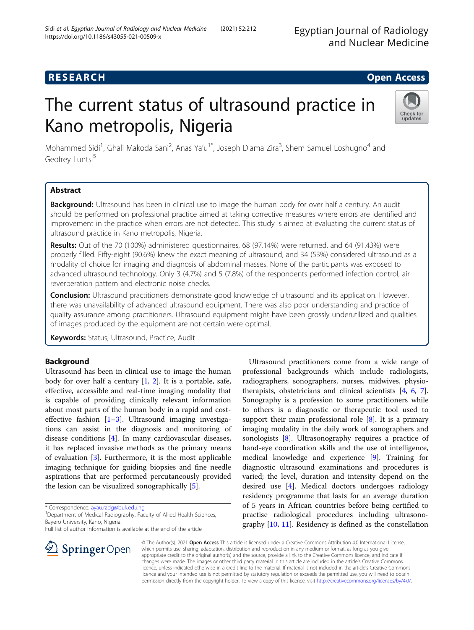# **RESEARCH CHEAR CHEAR CHEAR CHEAR CHEAR CHEAR CHEAR CHEAR CHEAR CHEAR CHEAR CHEAR CHEAR CHEAR CHEAR CHEAR CHEAR**

# The current status of ultrasound practice in Kano metropolis, Nigeria



Mohammed Sidi<sup>1</sup>, Ghali Makoda Sani<sup>2</sup>, Anas Ya'u<sup>1\*</sup>, Joseph Dlama Zira<sup>3</sup>, Shem Samuel Loshugno<sup>4</sup> and Geofrey Luntsi<sup>5</sup>

# Abstract

Background: Ultrasound has been in clinical use to image the human body for over half a century. An audit should be performed on professional practice aimed at taking corrective measures where errors are identified and improvement in the practice when errors are not detected. This study is aimed at evaluating the current status of ultrasound practice in Kano metropolis, Nigeria.

Results: Out of the 70 (100%) administered questionnaires, 68 (97.14%) were returned, and 64 (91.43%) were properly filled. Fifty-eight (90.6%) knew the exact meaning of ultrasound, and 34 (53%) considered ultrasound as a modality of choice for imaging and diagnosis of abdominal masses. None of the participants was exposed to advanced ultrasound technology. Only 3 (4.7%) and 5 (7.8%) of the respondents performed infection control, air reverberation pattern and electronic noise checks.

Conclusion: Ultrasound practitioners demonstrate good knowledge of ultrasound and its application. However, there was unavailability of advanced ultrasound equipment. There was also poor understanding and practice of quality assurance among practitioners. Ultrasound equipment might have been grossly underutilized and qualities of images produced by the equipment are not certain were optimal.

Keywords: Status, Ultrasound, Practice, Audit

## Background

Ultrasound has been in clinical use to image the human body for over half a century  $[1, 2]$  $[1, 2]$  $[1, 2]$ . It is a portable, safe, effective, accessible and real-time imaging modality that is capable of providing clinically relevant information about most parts of the human body in a rapid and costeffective fashion  $[1-3]$  $[1-3]$  $[1-3]$  $[1-3]$  $[1-3]$ . Ultrasound imaging investigations can assist in the diagnosis and monitoring of disease conditions [[4](#page-7-0)]. In many cardiovascular diseases, it has replaced invasive methods as the primary means of evaluation [\[3](#page-7-0)]. Furthermore, it is the most applicable imaging technique for guiding biopsies and fine needle aspirations that are performed percutaneously provided the lesion can be visualized sonographically [\[5](#page-7-0)].

\* Correspondence: [ayau.radg@buk.edu.ng](mailto:ayau.radg@buk.edu.ng) <sup>1</sup>

SpringerOpen

<sup>1</sup> Department of Medical Radiography, Faculty of Allied Health Sciences, Bayero University, Kano, Nigeria

Full list of author information is available at the end of the article



© The Author(s). 2021 Open Access This article is licensed under a Creative Commons Attribution 4.0 International License, which permits use, sharing, adaptation, distribution and reproduction in any medium or format, as long as you give appropriate credit to the original author(s) and the source, provide a link to the Creative Commons licence, and indicate if changes were made. The images or other third party material in this article are included in the article's Creative Commons licence, unless indicated otherwise in a credit line to the material. If material is not included in the article's Creative Commons licence and your intended use is not permitted by statutory regulation or exceeds the permitted use, you will need to obtain permission directly from the copyright holder. To view a copy of this licence, visit <http://creativecommons.org/licenses/by/4.0/>.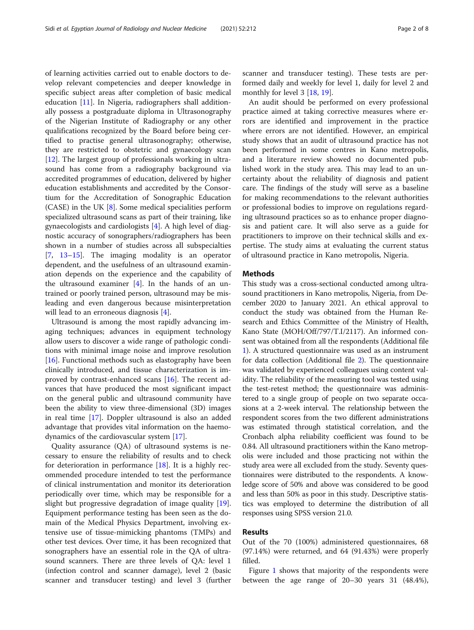of learning activities carried out to enable doctors to develop relevant competencies and deeper knowledge in specific subject areas after completion of basic medical education [[11](#page-7-0)]. In Nigeria, radiographers shall additionally possess a postgraduate diploma in Ultrasonography of the Nigerian Institute of Radiography or any other qualifications recognized by the Board before being certified to practise general ultrasonography; otherwise, they are restricted to obstetric and gynaecology scan [[12\]](#page-7-0). The largest group of professionals working in ultrasound has come from a radiography background via accredited programmes of education, delivered by higher education establishments and accredited by the Consortium for the Accreditation of Sonographic Education (CASE) in the UK [[8\]](#page-7-0). Some medical specialities perform specialized ultrasound scans as part of their training, like gynaecologists and cardiologists [\[4](#page-7-0)]. A high level of diagnostic accuracy of sonographers/radiographers has been shown in a number of studies across all subspecialties [[7,](#page-7-0) [13](#page-7-0)–[15\]](#page-7-0). The imaging modality is an operator dependent, and the usefulness of an ultrasound examination depends on the experience and the capability of the ultrasound examiner  $[4]$  $[4]$  $[4]$ . In the hands of an untrained or poorly trained person, ultrasound may be misleading and even dangerous because misinterpretation will lead to an erroneous diagnosis [\[4](#page-7-0)].

Ultrasound is among the most rapidly advancing imaging techniques; advances in equipment technology allow users to discover a wide range of pathologic conditions with minimal image noise and improve resolution [[16\]](#page-7-0). Functional methods such as elastography have been clinically introduced, and tissue characterization is improved by contrast-enhanced scans [[16](#page-7-0)]. The recent advances that have produced the most significant impact on the general public and ultrasound community have been the ability to view three-dimensional (3D) images in real time [[17](#page-7-0)]. Doppler ultrasound is also an added advantage that provides vital information on the haemodynamics of the cardiovascular system [[17\]](#page-7-0).

Quality assurance (QA) of ultrasound systems is necessary to ensure the reliability of results and to check for deterioration in performance  $[18]$  $[18]$ . It is a highly recommended procedure intended to test the performance of clinical instrumentation and monitor its deterioration periodically over time, which may be responsible for a slight but progressive degradation of image quality [\[19](#page-7-0)]. Equipment performance testing has been seen as the domain of the Medical Physics Department, involving extensive use of tissue-mimicking phantoms (TMPs) and other test devices. Over time, it has been recognized that sonographers have an essential role in the QA of ultrasound scanners. There are three levels of QA: level 1 (infection control and scanner damage), level 2 (basic scanner and transducer testing) and level 3 (further scanner and transducer testing). These tests are performed daily and weekly for level 1, daily for level 2 and monthly for level 3 [[18,](#page-7-0) [19\]](#page-7-0).

An audit should be performed on every professional practice aimed at taking corrective measures where errors are identified and improvement in the practice where errors are not identified. However, an empirical study shows that an audit of ultrasound practice has not been performed in some centres in Kano metropolis, and a literature review showed no documented published work in the study area. This may lead to an uncertainty about the reliability of diagnosis and patient care. The findings of the study will serve as a baseline for making recommendations to the relevant authorities or professional bodies to improve on regulations regarding ultrasound practices so as to enhance proper diagnosis and patient care. It will also serve as a guide for practitioners to improve on their technical skills and expertise. The study aims at evaluating the current status of ultrasound practice in Kano metropolis, Nigeria.

### **Methods**

This study was a cross-sectional conducted among ultrasound practitioners in Kano metropolis, Nigeria, from December 2020 to January 2021. An ethical approval to conduct the study was obtained from the Human Research and Ethics Committee of the Ministry of Health, Kano State (MOH/Off/797/T.I/2117). An informed consent was obtained from all the respondents (Additional file [1\)](#page-6-0). A structured questionnaire was used as an instrument for data collection (Additional file [2\)](#page-6-0). The questionnaire was validated by experienced colleagues using content validity. The reliability of the measuring tool was tested using the test-retest method; the questionnaire was administered to a single group of people on two separate occasions at a 2-week interval. The relationship between the respondent scores from the two different administrations was estimated through statistical correlation, and the Cronbach alpha reliability coefficient was found to be 0.84. All ultrasound practitioners within the Kano metropolis were included and those practicing not within the study area were all excluded from the study. Seventy questionnaires were distributed to the respondents. A knowledge score of 50% and above was considered to be good and less than 50% as poor in this study. Descriptive statistics was employed to determine the distribution of all responses using SPSS version 21.0.

#### Results

Out of the 70 (100%) administered questionnaires, 68 (97.14%) were returned, and 64 (91.43%) were properly filled.

Figure [1](#page-2-0) shows that majority of the respondents were between the age range of 20–30 years 31 (48.4%),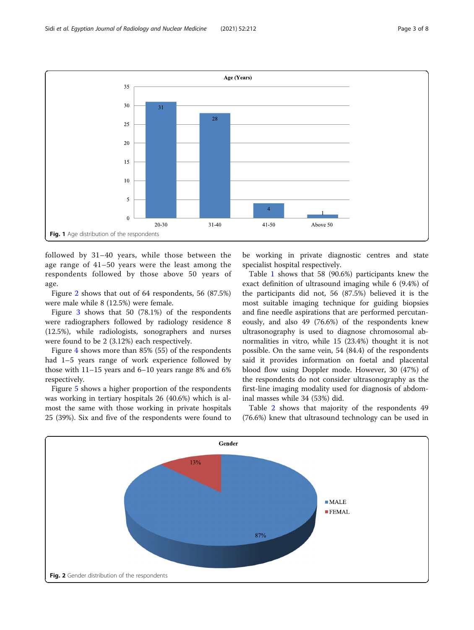<span id="page-2-0"></span>

followed by 31–40 years, while those between the age range of 41–50 years were the least among the respondents followed by those above 50 years of age.

Figure 2 shows that out of 64 respondents, 56 (87.5%) were male while 8 (12.5%) were female.

Figure [3](#page-3-0) shows that 50 (78.1%) of the respondents were radiographers followed by radiology residence 8 (12.5%), while radiologists, sonographers and nurses were found to be 2 (3.12%) each respectively.

Figure [4](#page-3-0) shows more than 85% (55) of the respondents had 1–5 years range of work experience followed by those with 11–15 years and 6–10 years range 8% and 6% respectively.

Figure [5](#page-4-0) shows a higher proportion of the respondents was working in tertiary hospitals 26 (40.6%) which is almost the same with those working in private hospitals 25 (39%). Six and five of the respondents were found to be working in private diagnostic centres and state specialist hospital respectively.

Table [1](#page-4-0) shows that 58 (90.6%) participants knew the exact definition of ultrasound imaging while 6 (9.4%) of the participants did not, 56 (87.5%) believed it is the most suitable imaging technique for guiding biopsies and fine needle aspirations that are performed percutaneously, and also 49 (76.6%) of the respondents knew ultrasonography is used to diagnose chromosomal abnormalities in vitro, while 15 (23.4%) thought it is not possible. On the same vein, 54 (84.4) of the respondents said it provides information on foetal and placental blood flow using Doppler mode. However, 30 (47%) of the respondents do not consider ultrasonography as the first-line imaging modality used for diagnosis of abdominal masses while 34 (53%) did.

Table [2](#page-5-0) shows that majority of the respondents 49 (76.6%) knew that ultrasound technology can be used in

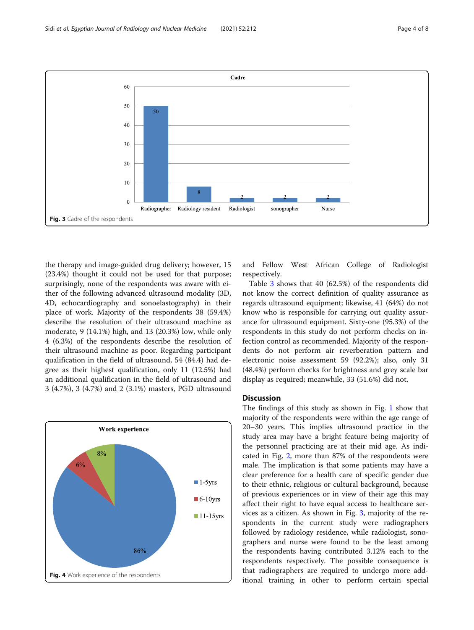<span id="page-3-0"></span>

the therapy and image-guided drug delivery; however, 15 (23.4%) thought it could not be used for that purpose; surprisingly, none of the respondents was aware with either of the following advanced ultrasound modality (3D, 4D, echocardiography and sonoelastography) in their place of work. Majority of the respondents 38 (59.4%) describe the resolution of their ultrasound machine as moderate, 9 (14.1%) high, and 13 (20.3%) low, while only 4 (6.3%) of the respondents describe the resolution of their ultrasound machine as poor. Regarding participant qualification in the field of ultrasound, 54 (84.4) had degree as their highest qualification, only 11 (12.5%) had an additional qualification in the field of ultrasound and 3 (4.7%), 3 (4.7%) and 2 (3.1%) masters, PGD ultrasound



and Fellow West African College of Radiologist respectively.

Table [3](#page-5-0) shows that 40 (62.5%) of the respondents did not know the correct definition of quality assurance as regards ultrasound equipment; likewise, 41 (64%) do not know who is responsible for carrying out quality assurance for ultrasound equipment. Sixty-one (95.3%) of the respondents in this study do not perform checks on infection control as recommended. Majority of the respondents do not perform air reverberation pattern and electronic noise assessment 59 (92.2%); also, only 31 (48.4%) perform checks for brightness and grey scale bar display as required; meanwhile, 33 (51.6%) did not.

#### **Discussion**

The findings of this study as shown in Fig. [1](#page-2-0) show that majority of the respondents were within the age range of 20–30 years. This implies ultrasound practice in the study area may have a bright feature being majority of the personnel practicing are at their mid age. As indicated in Fig. [2,](#page-2-0) more than 87% of the respondents were male. The implication is that some patients may have a clear preference for a health care of specific gender due to their ethnic, religious or cultural background, because of previous experiences or in view of their age this may affect their right to have equal access to healthcare services as a citizen. As shown in Fig. 3, majority of the respondents in the current study were radiographers followed by radiology residence, while radiologist, sonographers and nurse were found to be the least among the respondents having contributed 3.12% each to the respondents respectively. The possible consequence is that radiographers are required to undergo more additional training in other to perform certain special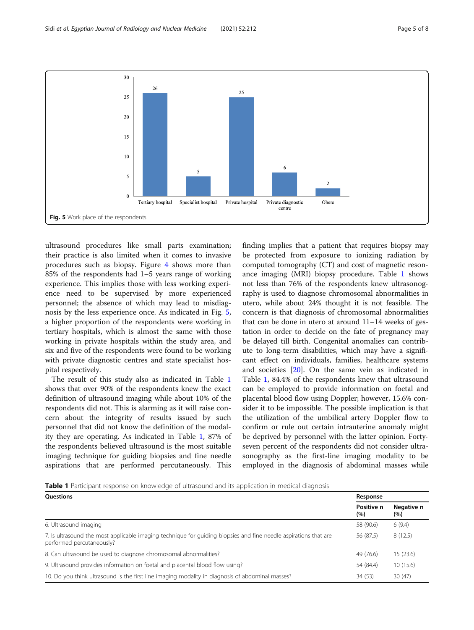<span id="page-4-0"></span>

ultrasound procedures like small parts examination; their practice is also limited when it comes to invasive procedures such as biopsy. Figure [4](#page-3-0) shows more than 85% of the respondents had 1–5 years range of working experience. This implies those with less working experience need to be supervised by more experienced personnel; the absence of which may lead to misdiagnosis by the less experience once. As indicated in Fig. 5, a higher proportion of the respondents were working in tertiary hospitals, which is almost the same with those working in private hospitals within the study area, and six and five of the respondents were found to be working with private diagnostic centres and state specialist hospital respectively.

The result of this study also as indicated in Table 1 shows that over 90% of the respondents knew the exact definition of ultrasound imaging while about 10% of the respondents did not. This is alarming as it will raise concern about the integrity of results issued by such personnel that did not know the definition of the modality they are operating. As indicated in Table 1, 87% of the respondents believed ultrasound is the most suitable imaging technique for guiding biopsies and fine needle aspirations that are performed percutaneously. This

finding implies that a patient that requires biopsy may be protected from exposure to ionizing radiation by computed tomography (CT) and cost of magnetic resonance imaging (MRI) biopsy procedure. Table 1 shows not less than 76% of the respondents knew ultrasonography is used to diagnose chromosomal abnormalities in utero, while about 24% thought it is not feasible. The concern is that diagnosis of chromosomal abnormalities that can be done in utero at around 11–14 weeks of gestation in order to decide on the fate of pregnancy may be delayed till birth. Congenital anomalies can contribute to long-term disabilities, which may have a significant effect on individuals, families, healthcare systems and societies [\[20\]](#page-7-0). On the same vein as indicated in Table 1, 84.4% of the respondents knew that ultrasound can be employed to provide information on foetal and placental blood flow using Doppler; however, 15.6% consider it to be impossible. The possible implication is that the utilization of the umbilical artery Doppler flow to confirm or rule out certain intrauterine anomaly might be deprived by personnel with the latter opinion. Fortyseven percent of the respondents did not consider ultrasonography as the first-line imaging modality to be employed in the diagnosis of abdominal masses while

Table 1 Participant response on knowledge of ultrasound and its application in medical diagnosis

| <b>Ouestions</b>                                                                                                                              | Response           |                    |
|-----------------------------------------------------------------------------------------------------------------------------------------------|--------------------|--------------------|
|                                                                                                                                               | Positive n<br>(% ) | Negative n<br>(% ) |
| 6. Ultrasound imaging                                                                                                                         | 58 (90.6)          | 6(9.4)             |
| 7. Is ultrasound the most applicable imaging technique for quiding biopsies and fine needle aspirations that are<br>performed percutaneously? | 56 (87.5)          | 8(12.5)            |
| 8. Can ultrasound be used to diagnose chromosomal abnormalities?                                                                              | 49 (76.6)          | 15(23.6)           |
| 9. Ultrasound provides information on foetal and placental blood flow using?                                                                  | 54 (84.4)          | 10(15.6)           |
| 10. Do you think ultrasound is the first line imaging modality in diagnosis of abdominal masses?                                              | 34(53)             | 30(47)             |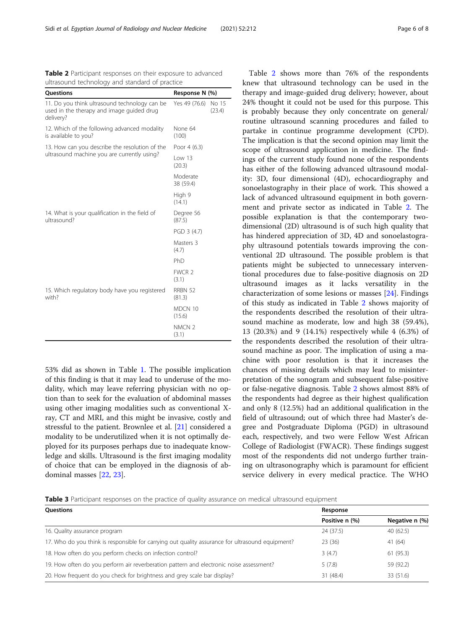53% did as shown in Table [1](#page-4-0). The possible implication of this finding is that it may lead to underuse of the modality, which may leave referring physician with no option than to seek for the evaluation of abdominal masses using other imaging modalities such as conventional Xray, CT and MRI, and this might be invasive, costly and stressful to the patient. Brownlee et al. [\[21](#page-7-0)] considered a modality to be underutilized when it is not optimally deployed for its purposes perhaps due to inadequate knowledge and skills. Ultrasound is the first imaging modality of choice that can be employed in the diagnosis of abdominal masses [[22](#page-7-0), [23](#page-7-0)].

knew that ultrasound technology can be used in the therapy and image-guided drug delivery; however, about 24% thought it could not be used for this purpose. This is probably because they only concentrate on general/ routine ultrasound scanning procedures and failed to partake in continue programme development (CPD). The implication is that the second opinion may limit the scope of ultrasound application in medicine. The findings of the current study found none of the respondents has either of the following advanced ultrasound modality: 3D, four dimensional (4D), echocardiography and sonoelastography in their place of work. This showed a lack of advanced ultrasound equipment in both government and private sector as indicated in Table 2. The possible explanation is that the contemporary twodimensional (2D) ultrasound is of such high quality that has hindered appreciation of 3D, 4D and sonoelastography ultrasound potentials towards improving the conventional 2D ultrasound. The possible problem is that patients might be subjected to unnecessary interventional procedures due to false-positive diagnosis on 2D ultrasound images as it lacks versatility in the characterization of some lesions or masses [[24](#page-7-0)]. Findings of this study as indicated in Table 2 shows majority of the respondents described the resolution of their ultrasound machine as moderate, low and high 38 (59.4%), 13 (20.3%) and 9 (14.1%) respectively while 4 (6.3%) of the respondents described the resolution of their ultrasound machine as poor. The implication of using a machine with poor resolution is that it increases the chances of missing details which may lead to misinterpretation of the sonogram and subsequent false-positive or false-negative diagnosis. Table 2 shows almost 88% of the respondents had degree as their highest qualification and only 8 (12.5%) had an additional qualification in the field of ultrasound; out of which three had Master's degree and Postgraduate Diploma (PGD) in ultrasound each, respectively, and two were Fellow West African College of Radiologist (FWACR). These findings suggest most of the respondents did not undergo further training on ultrasonography which is paramount for efficient service delivery in every medical practice. The WHO

Table 2 shows more than 76% of the respondents



| <b>Ouestions</b>                                                                                 | Response       |                |
|--------------------------------------------------------------------------------------------------|----------------|----------------|
|                                                                                                  | Positive n (%) | Negative n (%) |
| 16. Quality assurance program                                                                    | 24 (37.5)      | 40(62.5)       |
| 17. Who do you think is responsible for carrying out quality assurance for ultrasound equipment? | 23(36)         | 41(64)         |
| 18. How often do you perform checks on infection control?                                        | 3(4.7)         | 61(95.3)       |
| 19. How often do you perform air reverberation pattern and electronic noise assessment?          | 5(7.8)         | 59 (92.2)      |
| 20. How frequent do you check for brightness and grey scale bar display?                         | 31 (48.4)      | 33 (51.6)      |

<span id="page-5-0"></span>Table 2 Participant responses on their exposure to advanced ultrasound technology and standard of practice

| Questions                                                                                               |                            | Response N (%)  |  |
|---------------------------------------------------------------------------------------------------------|----------------------------|-----------------|--|
| 11. Do you think ultrasound technology can be<br>used in the therapy and image guided drug<br>delivery? | Yes 49 (76.6)              | No 15<br>(23.4) |  |
| 12. Which of the following advanced modality<br>is available to you?                                    | None 64<br>(100)           |                 |  |
| 13. How can you describe the resolution of the<br>ultrasound machine you are currently using?           | Poor 4 (6.3)               |                 |  |
|                                                                                                         | Low 13<br>(20.3)           |                 |  |
|                                                                                                         | Moderate<br>38 (59.4)      |                 |  |
|                                                                                                         | High 9<br>(14.1)           |                 |  |
| 14. What is your qualification in the field of<br>ultrasound?                                           | Degree 56<br>(87.5)        |                 |  |
|                                                                                                         | PGD 3 (4.7)                |                 |  |
|                                                                                                         | Masters 3<br>(4.7)         |                 |  |
|                                                                                                         | PhD                        |                 |  |
|                                                                                                         | FWCR <sub>2</sub><br>(3.1) |                 |  |
| 15. Which regulatory body have you registered<br>with?                                                  | RRBN 52<br>(81.3)          |                 |  |
|                                                                                                         | MDCN 10<br>(15.6)          |                 |  |
|                                                                                                         | NMCN <sub>2</sub><br>(3.1) |                 |  |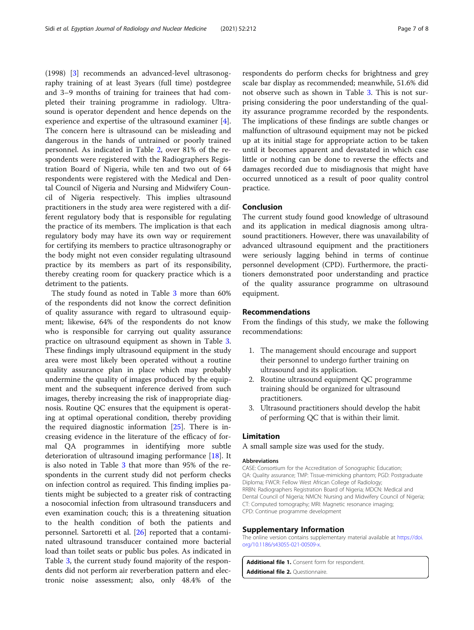<span id="page-6-0"></span>(1998) [\[3](#page-7-0)] recommends an advanced-level ultrasonography training of at least 3years (full time) postdegree and 3–9 months of training for trainees that had completed their training programme in radiology. Ultrasound is operator dependent and hence depends on the experience and expertise of the ultrasound examiner [\[4](#page-7-0)]. The concern here is ultrasound can be misleading and dangerous in the hands of untrained or poorly trained personnel. As indicated in Table [2](#page-5-0), over 81% of the respondents were registered with the Radiographers Registration Board of Nigeria, while ten and two out of 64 respondents were registered with the Medical and Dental Council of Nigeria and Nursing and Midwifery Council of Nigeria respectively. This implies ultrasound practitioners in the study area were registered with a different regulatory body that is responsible for regulating the practice of its members. The implication is that each regulatory body may have its own way or requirement for certifying its members to practice ultrasonography or the body might not even consider regulating ultrasound practice by its members as part of its responsibility, thereby creating room for quackery practice which is a detriment to the patients.

The study found as noted in Table [3](#page-5-0) more than 60% of the respondents did not know the correct definition of quality assurance with regard to ultrasound equipment; likewise, 64% of the respondents do not know who is responsible for carrying out quality assurance practice on ultrasound equipment as shown in Table [3](#page-5-0). These findings imply ultrasound equipment in the study area were most likely been operated without a routine quality assurance plan in place which may probably undermine the quality of images produced by the equipment and the subsequent inference derived from such images, thereby increasing the risk of inappropriate diagnosis. Routine QC ensures that the equipment is operating at optimal operational condition, thereby providing the required diagnostic information [[25\]](#page-7-0). There is increasing evidence in the literature of the efficacy of formal QA programmes in identifying more subtle deterioration of ultrasound imaging performance [[18](#page-7-0)]. It is also noted in Table [3](#page-5-0) that more than 95% of the respondents in the current study did not perform checks on infection control as required. This finding implies patients might be subjected to a greater risk of contracting a nosocomial infection from ultrasound transducers and even examination couch; this is a threatening situation to the health condition of both the patients and personnel. Sartoretti et al. [\[26](#page-7-0)] reported that a contaminated ultrasound transducer contained more bacterial load than toilet seats or public bus poles. As indicated in Table [3,](#page-5-0) the current study found majority of the respondents did not perform air reverberation pattern and electronic noise assessment; also, only 48.4% of the

respondents do perform checks for brightness and grey scale bar display as recommended; meanwhile, 51.6% did not observe such as shown in Table [3](#page-5-0). This is not surprising considering the poor understanding of the quality assurance programme recorded by the respondents. The implications of these findings are subtle changes or malfunction of ultrasound equipment may not be picked up at its initial stage for appropriate action to be taken until it becomes apparent and devastated in which case little or nothing can be done to reverse the effects and damages recorded due to misdiagnosis that might have occurred unnoticed as a result of poor quality control practice.

#### Conclusion

The current study found good knowledge of ultrasound and its application in medical diagnosis among ultrasound practitioners. However, there was unavailability of advanced ultrasound equipment and the practitioners were seriously lagging behind in terms of continue personnel development (CPD). Furthermore, the practitioners demonstrated poor understanding and practice of the quality assurance programme on ultrasound equipment.

#### Recommendations

From the findings of this study, we make the following recommendations:

- 1. The management should encourage and support their personnel to undergo further training on ultrasound and its application.
- 2. Routine ultrasound equipment QC programme training should be organized for ultrasound practitioners.
- 3. Ultrasound practitioners should develop the habit of performing QC that is within their limit.

#### Limitation

A small sample size was used for the study.

#### Abbreviations

CASE: Consortium for the Accreditation of Sonographic Education; QA: Quality assurance; TMP: Tissue-mimicking phantom; PGD: Postgraduate Diploma; FWCR: Fellow West African College of Radiology; RRBN: Radiographers Registration Board of Nigeria; MDCN: Medical and Dental Council of Nigeria; NMCN: Nursing and Midwifery Council of Nigeria; CT: Computed tomography; MRI: Magnetic resonance imaging; CPD: Continue programme development

#### Supplementary Information

The online version contains supplementary material available at [https://doi.](https://doi.org/10.1186/s43055-021-00509-x) [org/10.1186/s43055-021-00509-x](https://doi.org/10.1186/s43055-021-00509-x).

Additional file 1. Consent form for respondent. Additional file 2. Questionnaire.